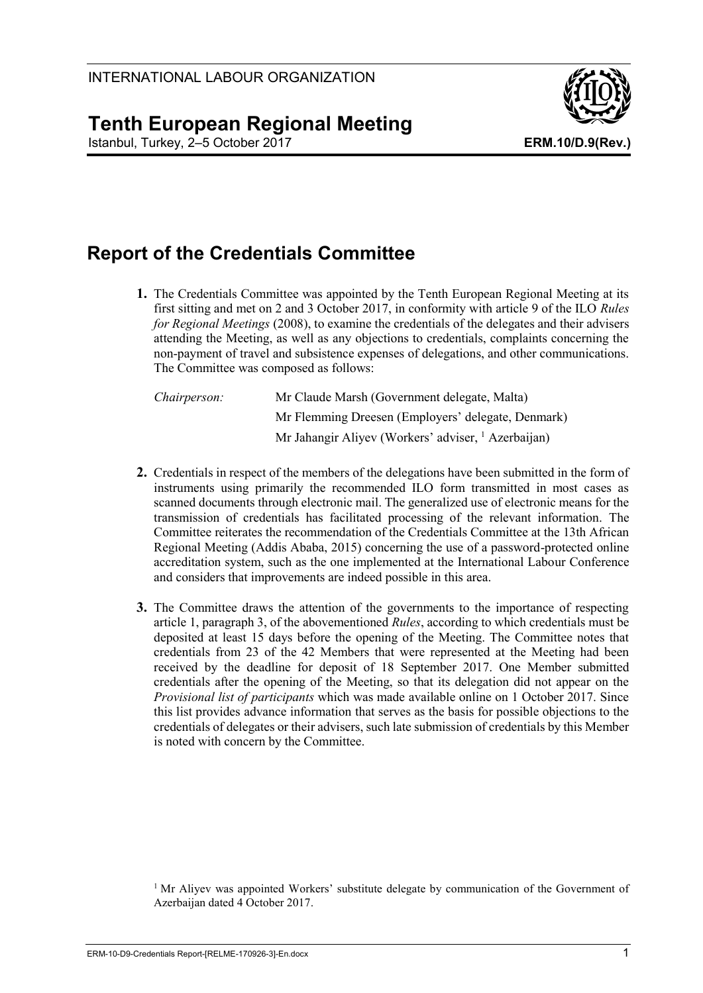

# **Tenth European Regional Meeting**

Istanbul, Turkey, 2–5 October 2017 **ERM.10/D.9(Rev.)**

# **Report of the Credentials Committee**

**1.** The Credentials Committee was appointed by the Tenth European Regional Meeting at its first sitting and met on 2 and 3 October 2017, in conformity with article 9 of the ILO *Rules for Regional Meetings* (2008), to examine the credentials of the delegates and their advisers attending the Meeting, as well as any objections to credentials, complaints concerning the non-payment of travel and subsistence expenses of delegations, and other communications. The Committee was composed as follows:

| <i>Chairperson:</i> | Mr Claude Marsh (Government delegate, Malta)                   |
|---------------------|----------------------------------------------------------------|
|                     | Mr Flemming Dreesen (Employers' delegate, Denmark)             |
|                     | Mr Jahangir Aliyev (Workers' adviser, <sup>1</sup> Azerbaijan) |

- **2.** Credentials in respect of the members of the delegations have been submitted in the form of instruments using primarily the recommended ILO form transmitted in most cases as scanned documents through electronic mail. The generalized use of electronic means for the transmission of credentials has facilitated processing of the relevant information. The Committee reiterates the recommendation of the Credentials Committee at the 13th African Regional Meeting (Addis Ababa, 2015) concerning the use of a password-protected online accreditation system, such as the one implemented at the International Labour Conference and considers that improvements are indeed possible in this area.
- **3.** The Committee draws the attention of the governments to the importance of respecting article 1, paragraph 3, of the abovementioned *Rules*, according to which credentials must be deposited at least 15 days before the opening of the Meeting. The Committee notes that credentials from 23 of the 42 Members that were represented at the Meeting had been received by the deadline for deposit of 18 September 2017. One Member submitted credentials after the opening of the Meeting, so that its delegation did not appear on the *Provisional list of participants* which was made available online on 1 October 2017. Since this list provides advance information that serves as the basis for possible objections to the credentials of delegates or their advisers, such late submission of credentials by this Member is noted with concern by the Committee.

<sup>1</sup> Mr Aliyev was appointed Workers' substitute delegate by communication of the Government of Azerbaijan dated 4 October 2017.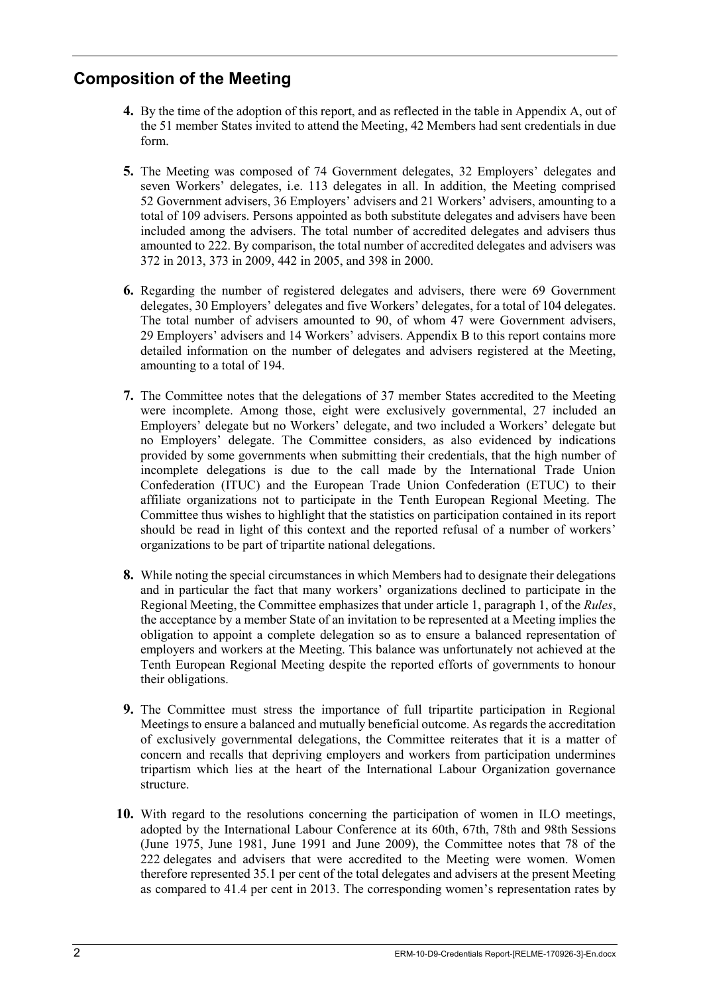## **Composition of the Meeting**

- **4.** By the time of the adoption of this report, and as reflected in the table in Appendix A, out of the 51 member States invited to attend the Meeting, 42 Members had sent credentials in due form.
- **5.** The Meeting was composed of 74 Government delegates, 32 Employers' delegates and seven Workers' delegates, i.e. 113 delegates in all. In addition, the Meeting comprised 52 Government advisers, 36 Employers' advisers and 21 Workers' advisers, amounting to a total of 109 advisers. Persons appointed as both substitute delegates and advisers have been included among the advisers. The total number of accredited delegates and advisers thus amounted to 222. By comparison, the total number of accredited delegates and advisers was 372 in 2013, 373 in 2009, 442 in 2005, and 398 in 2000.
- **6.** Regarding the number of registered delegates and advisers, there were 69 Government delegates, 30 Employers' delegates and five Workers' delegates, for a total of 104 delegates. The total number of advisers amounted to 90, of whom 47 were Government advisers, 29 Employers' advisers and 14 Workers' advisers. Appendix B to this report contains more detailed information on the number of delegates and advisers registered at the Meeting, amounting to a total of 194.
- **7.** The Committee notes that the delegations of 37 member States accredited to the Meeting were incomplete. Among those, eight were exclusively governmental, 27 included an Employers' delegate but no Workers' delegate, and two included a Workers' delegate but no Employers' delegate. The Committee considers, as also evidenced by indications provided by some governments when submitting their credentials, that the high number of incomplete delegations is due to the call made by the International Trade Union Confederation (ITUC) and the European Trade Union Confederation (ETUC) to their affiliate organizations not to participate in the Tenth European Regional Meeting. The Committee thus wishes to highlight that the statistics on participation contained in its report should be read in light of this context and the reported refusal of a number of workers' organizations to be part of tripartite national delegations.
- **8.** While noting the special circumstances in which Members had to designate their delegations and in particular the fact that many workers' organizations declined to participate in the Regional Meeting, the Committee emphasizes that under article 1, paragraph 1, of the *Rules*, the acceptance by a member State of an invitation to be represented at a Meeting implies the obligation to appoint a complete delegation so as to ensure a balanced representation of employers and workers at the Meeting. This balance was unfortunately not achieved at the Tenth European Regional Meeting despite the reported efforts of governments to honour their obligations.
- **9.** The Committee must stress the importance of full tripartite participation in Regional Meetings to ensure a balanced and mutually beneficial outcome. As regards the accreditation of exclusively governmental delegations, the Committee reiterates that it is a matter of concern and recalls that depriving employers and workers from participation undermines tripartism which lies at the heart of the International Labour Organization governance structure.
- **10.** With regard to the resolutions concerning the participation of women in ILO meetings, adopted by the International Labour Conference at its 60th, 67th, 78th and 98th Sessions (June 1975, June 1981, June 1991 and June 2009), the Committee notes that 78 of the 222 delegates and advisers that were accredited to the Meeting were women. Women therefore represented 35.1 per cent of the total delegates and advisers at the present Meeting as compared to 41.4 per cent in 2013. The corresponding women's representation rates by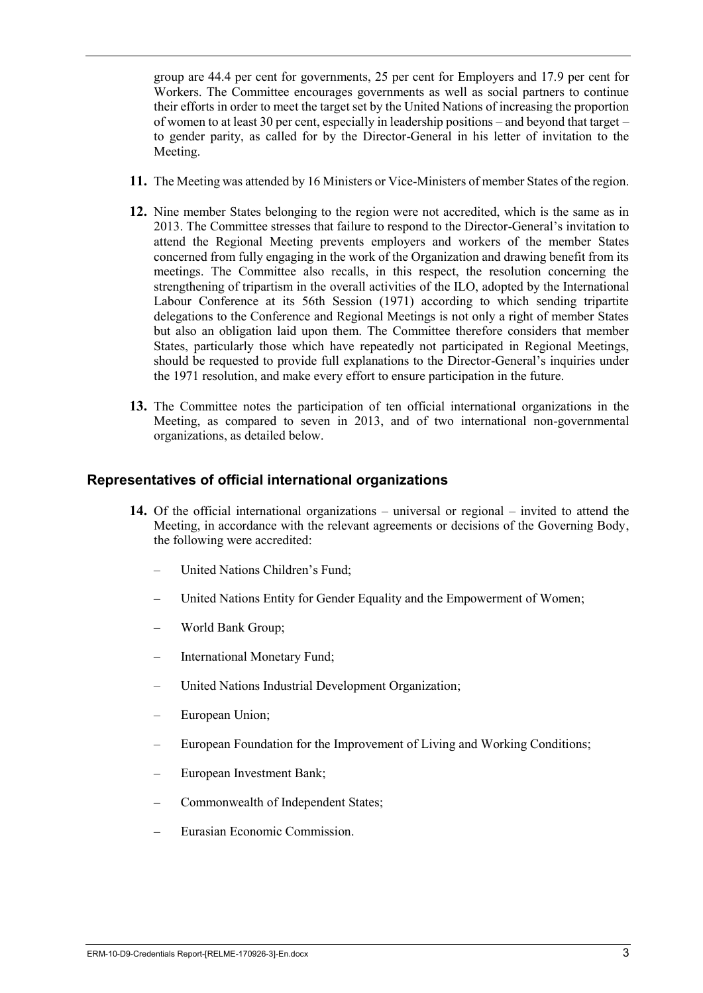group are 44.4 per cent for governments, 25 per cent for Employers and 17.9 per cent for Workers. The Committee encourages governments as well as social partners to continue their efforts in order to meet the target set by the United Nations of increasing the proportion of women to at least 30 per cent, especially in leadership positions – and beyond that target – to gender parity, as called for by the Director-General in his letter of invitation to the Meeting.

- **11.** The Meeting was attended by 16 Ministers or Vice-Ministers of member States of the region.
- **12.** Nine member States belonging to the region were not accredited, which is the same as in 2013. The Committee stresses that failure to respond to the Director-General's invitation to attend the Regional Meeting prevents employers and workers of the member States concerned from fully engaging in the work of the Organization and drawing benefit from its meetings. The Committee also recalls, in this respect, the resolution concerning the strengthening of tripartism in the overall activities of the ILO, adopted by the International Labour Conference at its 56th Session (1971) according to which sending tripartite delegations to the Conference and Regional Meetings is not only a right of member States but also an obligation laid upon them. The Committee therefore considers that member States, particularly those which have repeatedly not participated in Regional Meetings, should be requested to provide full explanations to the Director-General's inquiries under the 1971 resolution, and make every effort to ensure participation in the future.
- **13.** The Committee notes the participation of ten official international organizations in the Meeting, as compared to seven in 2013, and of two international non-governmental organizations, as detailed below.

## **Representatives of official international organizations**

- **14.** Of the official international organizations universal or regional invited to attend the Meeting, in accordance with the relevant agreements or decisions of the Governing Body, the following were accredited:
	- United Nations Children's Fund;
	- United Nations Entity for Gender Equality and the Empowerment of Women;
	- World Bank Group;
	- International Monetary Fund;
	- United Nations Industrial Development Organization;
	- European Union;
	- European Foundation for the Improvement of Living and Working Conditions;
	- European Investment Bank;
	- Commonwealth of Independent States;
	- Eurasian Economic Commission.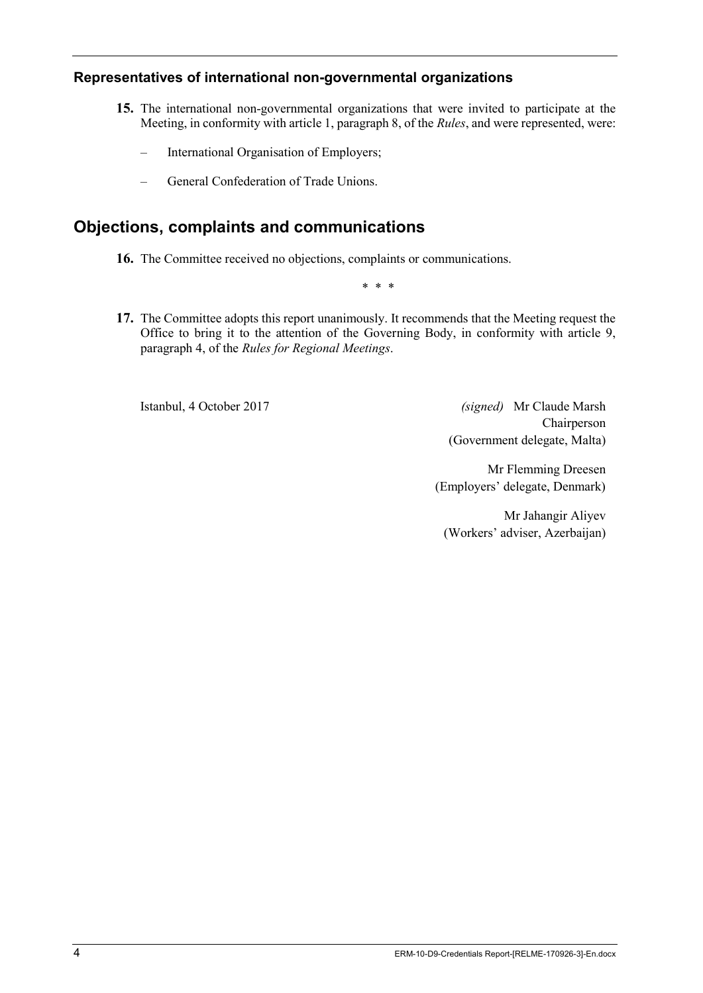## **Representatives of international non-governmental organizations**

- **15.** The international non-governmental organizations that were invited to participate at the Meeting, in conformity with article 1, paragraph 8, of the *Rules*, and were represented, were:
	- International Organisation of Employers;
	- General Confederation of Trade Unions.

## **Objections, complaints and communications**

**16.** The Committee received no objections, complaints or communications.

\* \* \*

**17.** The Committee adopts this report unanimously. It recommends that the Meeting request the Office to bring it to the attention of the Governing Body, in conformity with article 9, paragraph 4, of the *Rules for Regional Meetings*.

Istanbul, 4 October 2017 *(signed)* Mr Claude Marsh Chairperson (Government delegate, Malta)

> Mr Flemming Dreesen (Employers' delegate, Denmark)

Mr Jahangir Aliyev (Workers' adviser, Azerbaijan)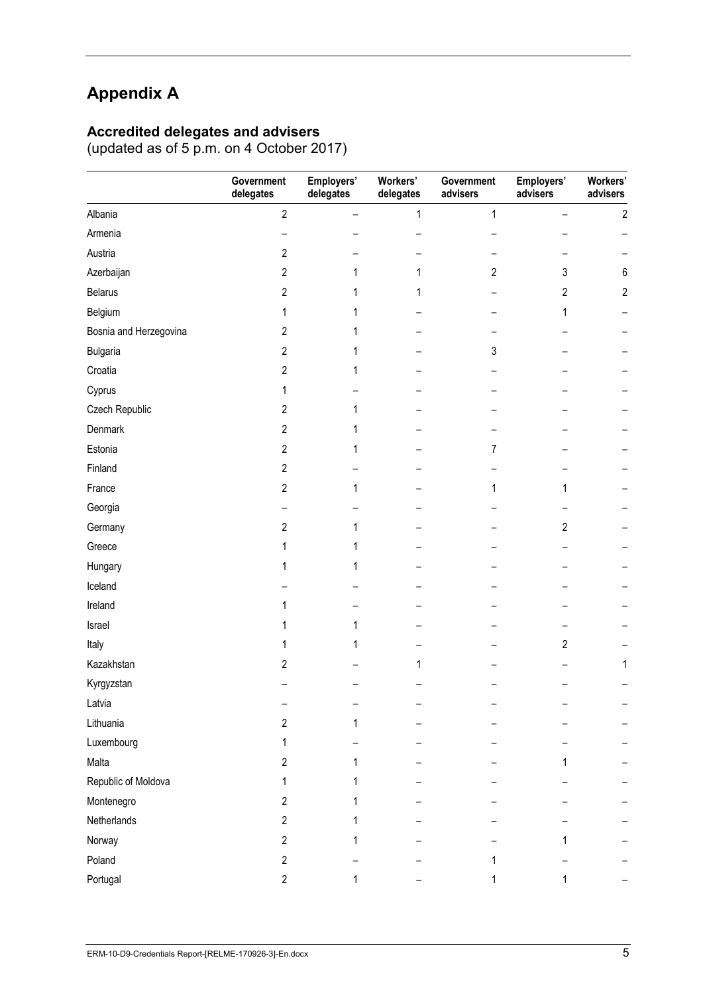# **Appendix A**

### **Accredited delegates and advisers**

(updated as of 5 p.m. on 4 October 2017)

|                        | Government<br>delegates | Employers'<br>delegates | Workers'<br>delegates | Government<br>advisers | Employers'<br>advisers | Workers'<br>advisers |
|------------------------|-------------------------|-------------------------|-----------------------|------------------------|------------------------|----------------------|
| Albania                | $\overline{2}$          | -                       | 1                     | 1                      |                        | $\overline{c}$       |
| Armenia                |                         |                         |                       |                        |                        |                      |
| Austria                | 2                       |                         |                       |                        |                        |                      |
| Azerbaijan             | $\overline{c}$          | 1                       | 1                     | $\mathbf{2}$           | 3                      | 6                    |
| <b>Belarus</b>         | $\overline{c}$          | 1                       | 1                     |                        | 2                      | $\overline{2}$       |
| Belgium                | 1                       | 1                       |                       |                        | 1                      |                      |
| Bosnia and Herzegovina | $\overline{c}$          | 1                       |                       |                        |                        |                      |
| <b>Bulgaria</b>        | $\overline{2}$          | 1                       |                       | 3                      |                        |                      |
| Croatia                | $\overline{c}$          | 1                       |                       |                        |                        |                      |
| Cyprus                 | 1                       |                         |                       |                        |                        |                      |
| Czech Republic         | $\overline{c}$          | 1                       |                       |                        |                        |                      |
| Denmark                | $\overline{2}$          | 1                       |                       |                        |                        |                      |
| Estonia                | $\overline{c}$          | 1                       |                       | 7                      |                        |                      |
| Finland                | $\overline{2}$          |                         |                       |                        |                        |                      |
| France                 | $\overline{c}$          | 1                       |                       | 1                      | 1                      |                      |
| Georgia                |                         |                         |                       |                        |                        |                      |
| Germany                | 2                       | 1                       |                       |                        | $\mathbf{2}$           |                      |
| Greece                 | 1                       | 1                       |                       |                        |                        |                      |
| Hungary                | 1                       | 1                       |                       |                        |                        |                      |
| Iceland                |                         |                         |                       |                        |                        |                      |
| Ireland                | 1                       |                         |                       |                        |                        |                      |
| Israel                 | 1                       | 1                       |                       |                        |                        |                      |
| Italy                  | 1                       | 1                       |                       |                        | $\overline{c}$         |                      |
| Kazakhstan             | 2                       |                         | 1                     |                        |                        | 1                    |
| Kyrgyzstan             |                         |                         |                       |                        |                        |                      |
| Latvia                 |                         |                         |                       |                        |                        |                      |
| Lithuania              | $\overline{2}$          | 1                       |                       |                        |                        |                      |
| Luxembourg             | 1                       |                         |                       |                        |                        |                      |
| Malta                  | $\overline{c}$          | 1                       |                       |                        |                        |                      |
| Republic of Moldova    | 1                       | 1                       |                       |                        |                        |                      |
| Montenegro             | $\overline{2}$          | 1                       |                       |                        |                        |                      |
| Netherlands            | $\overline{2}$          | 1                       |                       |                        |                        |                      |
| Norway                 | $\overline{c}$          |                         |                       |                        |                        |                      |
| Poland                 | $\overline{c}$          |                         |                       | 1                      |                        |                      |
| Portugal               | $\overline{c}$          | 1                       |                       | 1                      | 1                      |                      |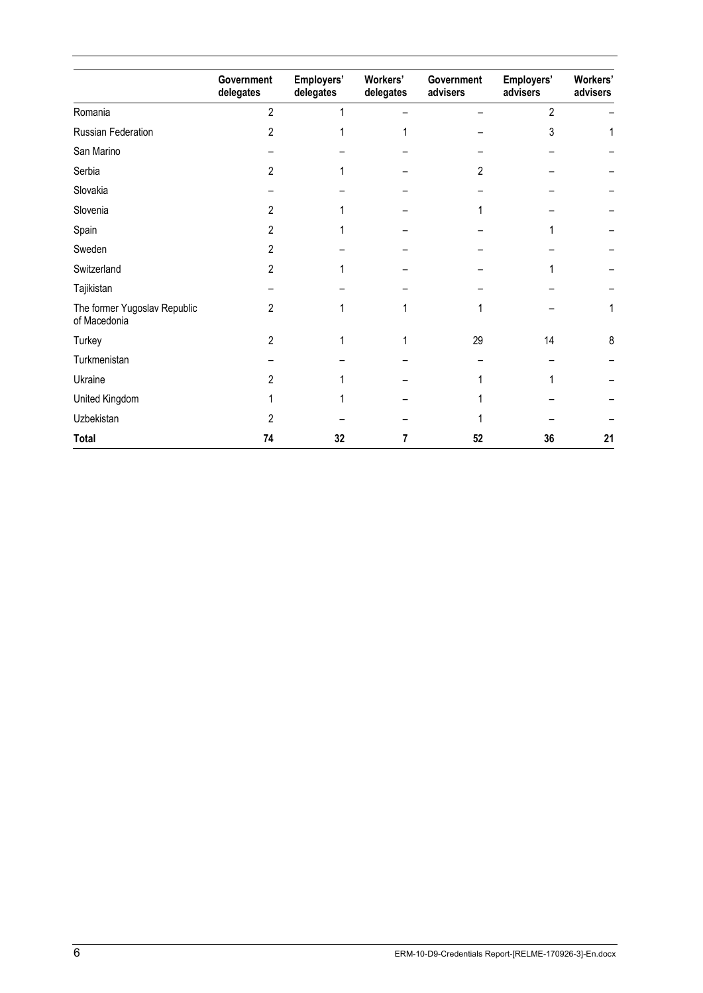|                                              | Government<br>delegates | Employers'<br>delegates | Workers'<br>delegates | Government<br>advisers | Employers'<br>advisers | Workers'<br>advisers |
|----------------------------------------------|-------------------------|-------------------------|-----------------------|------------------------|------------------------|----------------------|
| Romania                                      | $\overline{c}$          |                         |                       |                        | $\overline{2}$         |                      |
| Russian Federation                           | 2                       |                         |                       |                        | 3                      |                      |
| San Marino                                   |                         |                         |                       |                        |                        |                      |
| Serbia                                       | 2                       |                         |                       | 2                      |                        |                      |
| Slovakia                                     |                         |                         |                       |                        |                        |                      |
| Slovenia                                     | 2                       |                         |                       |                        |                        |                      |
| Spain                                        | 2                       |                         |                       |                        |                        |                      |
| Sweden                                       | 2                       |                         |                       |                        |                        |                      |
| Switzerland                                  | 2                       |                         |                       |                        |                        |                      |
| Tajikistan                                   |                         |                         |                       |                        |                        |                      |
| The former Yugoslav Republic<br>of Macedonia | 2                       |                         |                       |                        |                        | 1                    |
| Turkey                                       | 2                       |                         |                       | 29                     | 14                     | 8                    |
| Turkmenistan                                 |                         |                         |                       |                        |                        |                      |
| Ukraine                                      | 2                       |                         |                       |                        |                        |                      |
| United Kingdom                               |                         |                         |                       |                        |                        |                      |
| Uzbekistan                                   | 2                       |                         |                       |                        |                        |                      |
| <b>Total</b>                                 | 74                      | 32                      |                       | 52                     | 36                     | 21                   |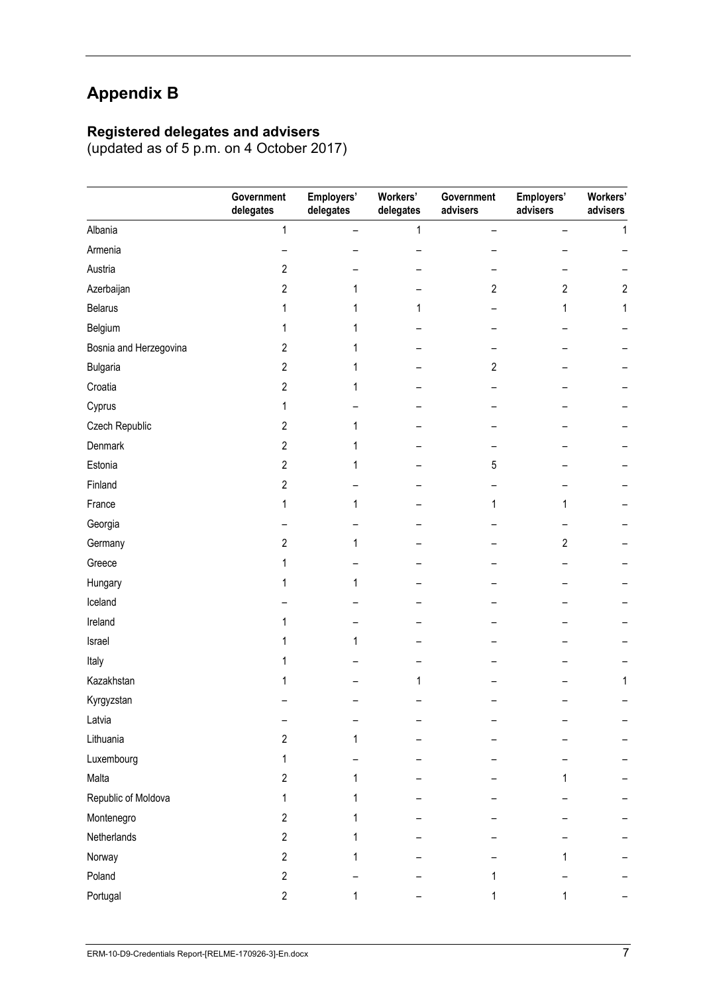# **Appendix B**

## **Registered delegates and advisers**

(updated as of 5 p.m. on 4 October 2017)

|                        | Government<br>delegates | Employers'<br>delegates | Workers'<br>delegates | Government<br>advisers | Employers'<br>advisers | Workers'<br>advisers |
|------------------------|-------------------------|-------------------------|-----------------------|------------------------|------------------------|----------------------|
| Albania                | $\mathbf{1}$            | $\qquad \qquad -$       | 1                     | -                      |                        | $\mathbf{1}$         |
| Armenia                |                         |                         |                       |                        |                        |                      |
| Austria                | $\overline{c}$          |                         |                       |                        |                        |                      |
| Azerbaijan             | $\overline{2}$          | 1                       |                       | $\overline{c}$         | $\overline{c}$         | $\overline{2}$       |
| <b>Belarus</b>         | 1                       | 1                       | 1                     |                        | 1                      | 1                    |
| Belgium                | 1                       | 1                       |                       |                        |                        |                      |
| Bosnia and Herzegovina | $\overline{c}$          | 1                       |                       |                        |                        |                      |
| <b>Bulgaria</b>        | $\overline{2}$          |                         |                       | 2                      |                        |                      |
| Croatia                | $\mathbf{2}$            | 1                       |                       |                        |                        |                      |
| Cyprus                 | 1                       |                         |                       |                        |                        |                      |
| Czech Republic         | $\overline{c}$          | 1                       |                       |                        |                        |                      |
| Denmark                | $\overline{c}$          | 1                       |                       |                        |                        |                      |
| Estonia                | $\overline{2}$          | 1                       |                       | 5                      |                        |                      |
| Finland                | $\overline{2}$          |                         |                       |                        |                        |                      |
| France                 | 1                       | 1                       |                       | 1                      |                        |                      |
| Georgia                |                         |                         |                       |                        |                        |                      |
| Germany                | $\overline{2}$          | 1                       |                       |                        | 2                      |                      |
| Greece                 | 1                       |                         |                       |                        |                        |                      |
| Hungary                | 1                       | 1                       |                       |                        |                        |                      |
| Iceland                |                         |                         |                       |                        |                        |                      |
| Ireland                |                         |                         |                       |                        |                        |                      |
| Israel                 |                         | 1                       |                       |                        |                        |                      |
| Italy                  |                         |                         |                       |                        |                        |                      |
| Kazakhstan             |                         |                         | 1                     |                        |                        | 1                    |
| Kyrgyzstan             |                         |                         |                       |                        |                        |                      |
| Latvia                 |                         |                         |                       |                        |                        |                      |
| Lithuania              | $\overline{c}$          | 1                       |                       |                        |                        |                      |
| Luxembourg             | 1                       |                         |                       |                        |                        |                      |
| Malta                  | $\overline{c}$          | 1                       |                       |                        |                        |                      |
| Republic of Moldova    | 1                       | 1                       |                       |                        |                        |                      |
| Montenegro             | 2                       | 1                       |                       |                        |                        |                      |
| Netherlands            | $\overline{2}$          | 1                       |                       |                        |                        |                      |
| Norway                 | $\overline{c}$          |                         |                       |                        |                        |                      |
| Poland                 | $\overline{c}$          |                         |                       |                        |                        |                      |
| Portugal               | $\overline{c}$          |                         |                       |                        |                        |                      |